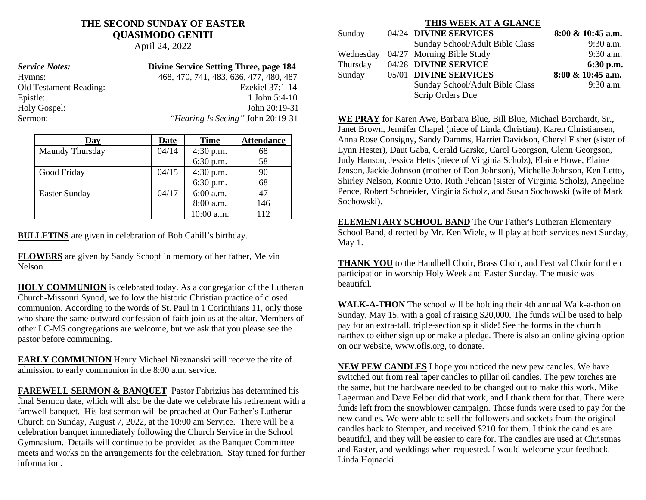# **THE SECOND SUNDAY OF EASTER QUASIMODO GENITI**

April 24, 2022

| <b>Service Notes:</b>         | <b>Divine Service Setting Three, page 184</b> |
|-------------------------------|-----------------------------------------------|
| Hymns:                        | 468, 470, 741, 483, 636, 477, 480, 487        |
| <b>Old Testament Reading:</b> | Ezekiel 37:1-14                               |
| Epistle:                      | 1 John $5:4-10$                               |
| Holy Gospel:                  | John 20:19-31                                 |
| Sermon:                       | "Hearing Is Seeing" John 20:19-31             |

| Dav                  | Date  | <b>Time</b> | <b>Attendance</b> |
|----------------------|-------|-------------|-------------------|
| Maundy Thursday      | 04/14 | 4:30 p.m.   | 68                |
|                      |       | 6:30 p.m.   | 58                |
| Good Friday          | 04/15 | $4:30$ p.m. | 90                |
|                      |       | 6:30 p.m.   | 68                |
| <b>Easter Sunday</b> | 04/17 | 6:00 a.m.   | 47                |
|                      |       | 8:00 a.m.   | 146               |
|                      |       | 10:00 a.m.  | 112               |

**BULLETINS** are given in celebration of Bob Cahill's birthday.

**FLOWERS** are given by Sandy Schopf in memory of her father, Melvin Nelson.

**HOLY COMMUNION** is celebrated today. As a congregation of the Lutheran Church-Missouri Synod, we follow the historic Christian practice of closed communion. According to the words of St. Paul in 1 Corinthians 11, only those who share the same outward confession of faith join us at the altar. Members of other LC-MS congregations are welcome, but we ask that you please see the pastor before communing.

**EARLY COMMUNION** Henry Michael Nieznanski will receive the rite of admission to early communion in the 8:00 a.m. service.

**FAREWELL SERMON & BANQUET** Pastor Fabrizius has determined his final Sermon date, which will also be the date we celebrate his retirement with a farewell banquet. His last sermon will be preached at Our Father's Lutheran Church on Sunday, August 7, 2022, at the 10:00 am Service. There will be a celebration banquet immediately following the Church Service in the School Gymnasium. Details will continue to be provided as the Banquet Committee meets and works on the arrangements for the celebration. Stay tuned for further information.

### **THIS WEEK AT A GLANCE** Sunday 04/24 **DIVINE SERVICES** 8:00 & 10:45 a.m. Sunday School/Adult Bible Class 9:30 a.m. Wednesday 04/27 Morning Bible Study 9:30 a.m. Thursday 04/28 **DIVINE SERVICE** 6:30 p.m. Sunday 05/01 **DIVINE SERVICES 8:00 & 10:45 a.m.** Sunday School/Adult Bible Class 9:30 a.m. Scrip Orders Due

**WE PRAY** for Karen Awe, Barbara Blue, Bill Blue, Michael Borchardt, Sr., Janet Brown, Jennifer Chapel (niece of Linda Christian), Karen Christiansen, Anna Rose Consigny, Sandy Damms, Harriet Davidson, Cheryl Fisher (sister of Lynn Hester), Daut Gaba, Gerald Garske, Carol Georgson, Glenn Georgson, Judy Hanson, Jessica Hetts (niece of Virginia Scholz), Elaine Howe, Elaine Jenson, Jackie Johnson (mother of Don Johnson), Michelle Johnson, Ken Letto, Shirley Nelson, Konnie Otto, Ruth Pelican (sister of Virginia Scholz), Angeline Pence, Robert Schneider, Virginia Scholz, and Susan Sochowski (wife of Mark Sochowski).

**ELEMENTARY SCHOOL BAND** The Our Father's Lutheran Elementary School Band, directed by Mr. Ken Wiele, will play at both services next Sunday, May 1.

**THANK YOU** to the Handbell Choir, Brass Choir, and Festival Choir for their participation in worship Holy Week and Easter Sunday. The music was beautiful.

**WALK-A-THON** The school will be holding their 4th annual Walk-a-thon on Sunday, May 15, with a goal of raising \$20,000. The funds will be used to help pay for an extra-tall, triple-section split slide! See the forms in the church narthex to either sign up or make a pledge. There is also an online giving option on our website, www.ofls.org, to donate.

**NEW PEW CANDLES** I hope you noticed the new pew candles. We have switched out from real taper candles to pillar oil candles. The pew torches are the same, but the hardware needed to be changed out to make this work. Mike Lagerman and Dave Felber did that work, and I thank them for that. There were funds left from the snowblower campaign. Those funds were used to pay for the new candles. We were able to sell the followers and sockets from the original candles back to Stemper, and received \$210 for them. I think the candles are beautiful, and they will be easier to care for. The candles are used at Christmas and Easter, and weddings when requested. I would welcome your feedback. Linda Hojnacki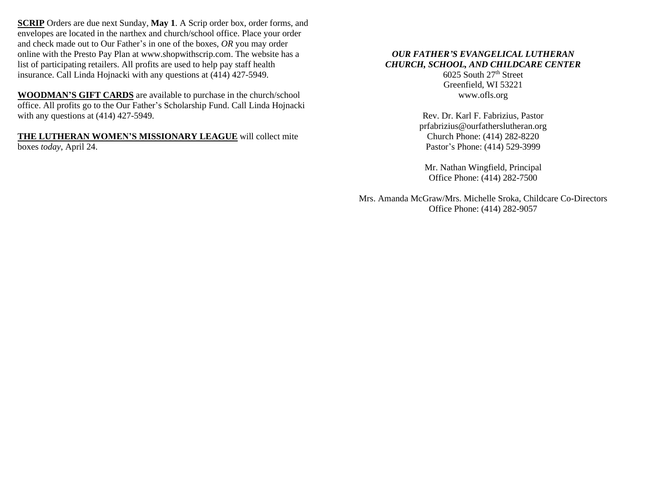**SCRIP** Orders are due next Sunday, **May 1**. A Scrip order box, order forms, and envelopes are located in the narthex and church/school office. Place your order and check made out to Our Father's in one of the boxes, *OR* you may order online with the Presto Pay Plan at www.shopwithscrip.com. The website has a list of participating retailers. All profits are used to help pay staff health insurance. Call Linda Hojnacki with any questions at (414) 427-5949.

**WOODMAN'S GIFT CARDS** are available to purchase in the church/school office. All profits go to the Our Father's Scholarship Fund. Call Linda Hojnacki with any questions at  $(414)$  427-5949.

**THE LUTHERAN WOMEN'S MISSIONARY LEAGUE** will collect mite boxes *today*, April 24.

## *OUR FATHER'S EVANGELICAL LUTHERAN CHURCH, SCHOOL, AND CHILDCARE CENTER*

6025 South 27 th Street Greenfield, WI 53221 www.ofls.org

Rev. Dr. Karl F. Fabrizius, Pastor prfabrizius@ourfatherslutheran.org Church Phone: (414) 282-8220 Pastor's Phone: (414) 529-3999

Mr. Nathan Wingfield, Principal Office Phone: (414) 282-7500

Mrs. Amanda McGraw/Mrs. Michelle Sroka, Childcare Co-Directors Office Phone: (414) 282-9057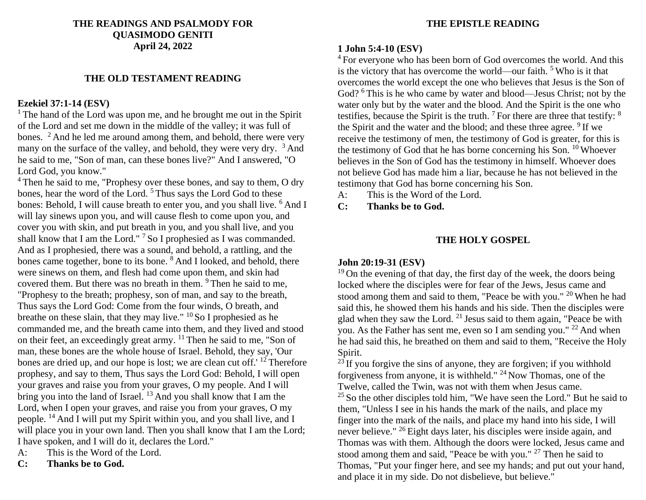### **THE READINGS AND PSALMODY FOR QUASIMODO GENITI April 24, 2022**

## **THE OLD TESTAMENT READING**

## **Ezekiel 37:1-14 (ESV)**

 $1$ <sup>1</sup> The hand of the Lord was upon me, and he brought me out in the Spirit of the Lord and set me down in the middle of the valley; it was full of bones.  $\frac{2}{3}$  And he led me around among them, and behold, there were very many on the surface of the valley, and behold, they were very dry. <sup>3</sup> And he said to me, "Son of man, can these bones live?" And I answered, "O Lord God, you know."

<sup>4</sup> Then he said to me, "Prophesy over these bones, and say to them, O dry bones, hear the word of the Lord.<sup>5</sup> Thus says the Lord God to these bones: Behold, I will cause breath to enter you, and you shall live. <sup>6</sup> And I will lay sinews upon you, and will cause flesh to come upon you, and cover you with skin, and put breath in you, and you shall live, and you shall know that I am the Lord." <sup>7</sup> So I prophesied as I was commanded. And as I prophesied, there was a sound, and behold, a rattling, and the bones came together, bone to its bone. <sup>8</sup> And I looked, and behold, there were sinews on them, and flesh had come upon them, and skin had covered them. But there was no breath in them. <sup>9</sup>Then he said to me, "Prophesy to the breath; prophesy, son of man, and say to the breath, Thus says the Lord God: Come from the four winds, O breath, and breathe on these slain, that they may live."  $^{10}$  So I prophesied as he commanded me, and the breath came into them, and they lived and stood on their feet, an exceedingly great army.  $11$  Then he said to me, "Son of man, these bones are the whole house of Israel. Behold, they say, 'Our bones are dried up, and our hope is lost; we are clean cut off.'  $12$  Therefore prophesy, and say to them, Thus says the Lord God: Behold, I will open your graves and raise you from your graves, O my people. And I will bring you into the land of Israel.  $^{13}$  And you shall know that I am the Lord, when I open your graves, and raise you from your graves, O my people. <sup>14</sup>And I will put my Spirit within you, and you shall live, and I will place you in your own land. Then you shall know that I am the Lord; I have spoken, and I will do it, declares the Lord."

- A: This is the Word of the Lord.
- **C: Thanks be to God.**

## **THE EPISTLE READING**

#### **1 John 5:4-10 (ESV)**

<sup>4</sup> For everyone who has been born of God overcomes the world. And this is the victory that has overcome the world—our faith.  $5$  Who is it that overcomes the world except the one who believes that Jesus is the Son of God? <sup>6</sup>This is he who came by water and blood—Jesus Christ; not by the water only but by the water and the blood. And the Spirit is the one who testifies, because the Spirit is the truth.  $7$  For there are three that testify:  $8$ the Spirit and the water and the blood; and these three agree.  $9$  If we receive the testimony of men, the testimony of God is greater, for this is the testimony of God that he has borne concerning his Son.  $10$  Whoever believes in the Son of God has the testimony in himself. Whoever does not believe God has made him a liar, because he has not believed in the testimony that God has borne concerning his Son.

- A: This is the Word of the Lord.
- **C: Thanks be to God.**

## **THE HOLY GOSPEL**

### **John 20:19-31 (ESV)**

 $19$  On the evening of that day, the first day of the week, the doors being locked where the disciples were for fear of the Jews, Jesus came and stood among them and said to them, "Peace be with you." <sup>20</sup> When he had said this, he showed them his hands and his side. Then the disciples were glad when they saw the Lord.  $2<sup>1</sup>$  Jesus said to them again, "Peace be with you. As the Father has sent me, even so I am sending you."  $^{22}$  And when he had said this, he breathed on them and said to them, "Receive the Holy Spirit.

 $^{23}$  If you forgive the sins of anyone, they are forgiven; if you withhold forgiveness from anyone, it is withheld."  $24$  Now Thomas, one of the Twelve, called the Twin, was not with them when Jesus came.  $25$  So the other disciples told him, "We have seen the Lord." But he said to them, "Unless I see in his hands the mark of the nails, and place my finger into the mark of the nails, and place my hand into his side, I will never believe."  $^{26}$  Eight days later, his disciples were inside again, and Thomas was with them. Although the doors were locked, Jesus came and stood among them and said, "Peace be with you." <sup>27</sup> Then he said to Thomas, "Put your finger here, and see my hands; and put out your hand, and place it in my side. Do not disbelieve, but believe."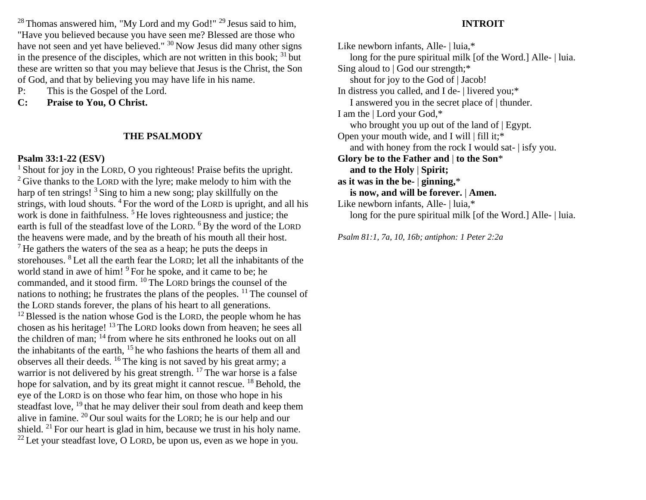$28$  Thomas answered him, "My Lord and my God!"  $29$  Jesus said to him, "Have you believed because you have seen me? Blessed are those who have not seen and yet have believed."  $30$  Now Jesus did many other signs in the presence of the disciples, which are not written in this book;  $31$  but these are written so that you may believe that Jesus is the Christ, the Son of God, and that by believing you may have life in his name.

- P: This is the Gospel of the Lord.
- **C: Praise to You, O Christ.**

#### **THE PSALMODY**

### **Psalm 33:1-22 (ESV)**

<sup>1</sup> Shout for joy in the LORD, O you righteous! Praise befits the upright.  $2$  Give thanks to the LORD with the lyre; make melody to him with the harp of ten strings! <sup>3</sup> Sing to him a new song; play skillfully on the strings, with loud shouts.  $4$  For the word of the LORD is upright, and all his work is done in faithfulness.<sup>5</sup> He loves righteousness and justice; the earth is full of the steadfast love of the LORD. <sup>6</sup> By the word of the LORD the heavens were made, and by the breath of his mouth all their host.  $<sup>7</sup>$  He gathers the waters of the sea as a heap; he puts the deeps in</sup> storehouses. <sup>8</sup>Let all the earth fear the LORD; let all the inhabitants of the world stand in awe of him! <sup>9</sup> For he spoke, and it came to be; he commanded, and it stood firm. <sup>10</sup>The LORD brings the counsel of the nations to nothing; he frustrates the plans of the peoples.  $^{11}$  The counsel of the LORD stands forever, the plans of his heart to all generations.  $12$  Blessed is the nation whose God is the LORD, the people whom he has chosen as his heritage! <sup>13</sup>The LORD looks down from heaven; he sees all the children of man;  $^{14}$  from where he sits enthroned he looks out on all the inhabitants of the earth,  $15$  he who fashions the hearts of them all and observes all their deeds.  $^{16}$  The king is not saved by his great army; a warrior is not delivered by his great strength.  $17$  The war horse is a false hope for salvation, and by its great might it cannot rescue.  $^{18}$  Behold, the eye of the LORD is on those who fear him, on those who hope in his steadfast love, <sup>19</sup> that he may deliver their soul from death and keep them alive in famine.  $^{20}$  Our soul waits for the LORD; he is our help and our shield. <sup>21</sup> For our heart is glad in him, because we trust in his holy name.  $^{22}$  Let your steadfast love, O LORD, be upon us, even as we hope in you.

### **INTROIT**

Like newborn infants, Alle- | luia.\* long for the pure spiritual milk [of the Word.] Alle- | luia. Sing aloud to | God our strength;\* shout for joy to the God of | Jacob! In distress you called, and I de- | livered you;\* I answered you in the secret place of | thunder. I am the | Lord your God,\* who brought you up out of the land of | Egypt. Open your mouth wide, and I will | fill it;\* and with honey from the rock I would sat- | isfy you. **Glory be to the Father and** | **to the Son**\*  **and to the Holy** | **Spirit; as it was in the be-** | **ginning,**\*  **is now, and will be forever.** | **Amen.** Like newborn infants, Alle- | luia,\* long for the pure spiritual milk [of the Word.] Alle- | luia.

*Psalm 81:1, 7a, 10, 16b; antiphon: 1 Peter 2:2a*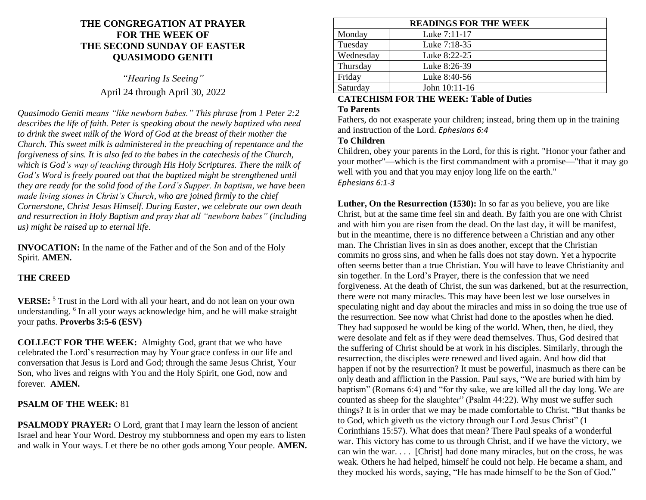## **THE CONGREGATION AT PRAYER FOR THE WEEK OF THE SECOND SUNDAY OF EASTER QUASIMODO GENITI**

*"Hearing Is Seeing"* April 24 through April 30, 2022

*Quasimodo Geniti means "like newborn babes." This phrase from 1 Peter 2:2 describes the life of faith. Peter is speaking about the newly baptized who need to drink the sweet milk of the Word of God at the breast of their mother the Church. This sweet milk is administered in the preaching of repentance and the forgiveness of sins. It is also fed to the babes in the catechesis of the Church, which is God's way of teaching through His Holy Scriptures. There the milk of God's Word is freely poured out that the baptized might be strengthened until they are ready for the solid food of the Lord's Supper. In baptism, we have been made living stones in Christ's Church, who are joined firmly to the chief Cornerstone, Christ Jesus Himself. During Easter, we celebrate our own death and resurrection in Holy Baptism and pray that all "newborn babes" (including us) might be raised up to eternal life*.

**INVOCATION:** In the name of the Father and of the Son and of the Holy Spirit. **AMEN.**

#### **THE CREED**

**VERSE:** <sup>5</sup> Trust in the Lord with all your heart, and do not lean on your own understanding. <sup>6</sup> In all your ways acknowledge him, and he will make straight your paths. **Proverbs 3:5-6 (ESV)**

**COLLECT FOR THE WEEK:** Almighty God, grant that we who have celebrated the Lord's resurrection may by Your grace confess in our life and conversation that Jesus is Lord and God; through the same Jesus Christ, Your Son, who lives and reigns with You and the Holy Spirit, one God, now and forever. **AMEN.**

#### **PSALM OF THE WEEK:** 81

**PSALMODY PRAYER:** O Lord, grant that I may learn the lesson of ancient Israel and hear Your Word. Destroy my stubbornness and open my ears to listen and walk in Your ways. Let there be no other gods among Your people. **AMEN.**

| <b>READINGS FOR THE WEEK</b> |               |  |
|------------------------------|---------------|--|
| Monday                       | Luke 7:11-17  |  |
| Tuesday                      | Luke 7:18-35  |  |
| Wednesday                    | Luke 8:22-25  |  |
| Thursday                     | Luke 8:26-39  |  |
| Friday                       | Luke 8:40-56  |  |
| Saturday                     | John 10:11-16 |  |
|                              |               |  |

#### **CATECHISM FOR THE WEEK: Table of Duties To Parents**

Fathers, do not exasperate your children; instead, bring them up in the training and instruction of the Lord. *Ephesians 6:4*

#### **To Children**

Children, obey your parents in the Lord, for this is right. "Honor your father and your mother"—which is the first commandment with a promise—"that it may go well with you and that you may enjoy long life on the earth." *Ephesians 6:1-3*

**Luther, On the Resurrection (1530):** In so far as you believe, you are like Christ, but at the same time feel sin and death. By faith you are one with Christ and with him you are risen from the dead. On the last day, it will be manifest, but in the meantime, there is no difference between a Christian and any other man. The Christian lives in sin as does another, except that the Christian commits no gross sins, and when he falls does not stay down. Yet a hypocrite often seems better than a true Christian. You will have to leave Christianity and sin together. In the Lord's Prayer, there is the confession that we need forgiveness. At the death of Christ, the sun was darkened, but at the resurrection, there were not many miracles. This may have been lest we lose ourselves in speculating night and day about the miracles and miss in so doing the true use of the resurrection. See now what Christ had done to the apostles when he died. They had supposed he would be king of the world. When, then, he died, they were desolate and felt as if they were dead themselves. Thus, God desired that the suffering of Christ should be at work in his disciples. Similarly, through the resurrection, the disciples were renewed and lived again. And how did that happen if not by the resurrection? It must be powerful, inasmuch as there can be only death and affliction in the Passion. Paul says, "We are buried with him by baptism" (Romans 6:4) and "for thy sake, we are killed all the day long. We are counted as sheep for the slaughter" (Psalm 44:22). Why must we suffer such things? It is in order that we may be made comfortable to Christ. "But thanks be to God, which giveth us the victory through our Lord Jesus Christ" (1 Corinthians 15:57). What does that mean? There Paul speaks of a wonderful war. This victory has come to us through Christ, and if we have the victory, we can win the war. . . . [Christ] had done many miracles, but on the cross, he was weak. Others he had helped, himself he could not help. He became a sham, and they mocked his words, saying, "He has made himself to be the Son of God."